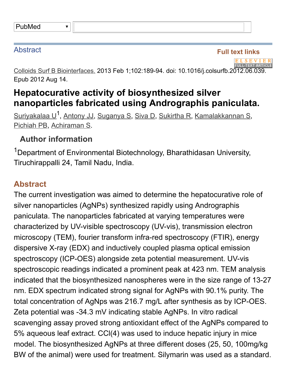| PubMed |
|--------|
|--------|

## **Abstract**

Full text links

Colloids Surf B Biointerfaces. 2013 Feb 1;102:189-94. doi: 10.1016/j.colsurfb.2012.06.039 Epub 2012 Aug 14.

## Hepatocurative activity of biosynthesized silver nanoparticles fabricated using Andrographis paniculata.

[Suriyakalaa](http://www.ncbi.nlm.nih.gov/pubmed/?term=Suriyakalaa%20U%5BAuthor%5D&cauthor=true&cauthor_uid=23018020) U<sup>1</sup>, [Antony](http://www.ncbi.nlm.nih.gov/pubmed/?term=Antony%20JJ%5BAuthor%5D&cauthor=true&cauthor_uid=23018020) JJ, [Suganya](http://www.ncbi.nlm.nih.gov/pubmed/?term=Suganya%20S%5BAuthor%5D&cauthor=true&cauthor_uid=23018020) S, [Siva](http://www.ncbi.nlm.nih.gov/pubmed/?term=Siva%20D%5BAuthor%5D&cauthor=true&cauthor_uid=23018020) D, [Sukirtha](http://www.ncbi.nlm.nih.gov/pubmed/?term=Sukirtha%20R%5BAuthor%5D&cauthor=true&cauthor_uid=23018020) R, [Kamalakkannan](http://www.ncbi.nlm.nih.gov/pubmed/?term=Kamalakkannan%20S%5BAuthor%5D&cauthor=true&cauthor_uid=23018020) S, [Pichiah](http://www.ncbi.nlm.nih.gov/pubmed/?term=Pichiah%20PB%5BAuthor%5D&cauthor=true&cauthor_uid=23018020) PB, [Achiraman](http://www.ncbi.nlm.nih.gov/pubmed/?term=Achiraman%20S%5BAuthor%5D&cauthor=true&cauthor_uid=23018020) S.

## Author information

 $\blacktriangledown$ 

<sup>1</sup>Department of Environmental Biotechnology, Bharathidasan University, Tiruchirappalli 24, Tamil Nadu, India.

## Abstract

The current investigation was aimed to determine the hepatocurative role of silver nanoparticles (AgNPs) synthesized rapidly using Andrographis paniculata. The nanoparticles fabricated at varying temperatures were characterized by UV-visible spectroscopy (UV-vis), transmission electron microscopy (TEM), fourier transform infra-red spectroscopy (FTIR), energy dispersive X-ray (EDX) and inductively coupled plasma optical emission spectroscopy (ICP-OES) alongside zeta potential measurement. UV-vis spectroscopic readings indicated a prominent peak at 423 nm. TEM analysis indicated that the biosynthesized nanospheres were in the size range of 13-27 nm. EDX spectrum indicated strong signal for AgNPs with 90.1% purity. The total concentration of AgNps was 216.7 mg/L after synthesis as by ICP-OES. Zeta potential was -34.3 mV indicating stable AgNPs. In vitro radical scavenging assay proved strong antioxidant effect of the AgNPs compared to 5% aqueous leaf extract. CCl(4) was used to induce hepatic injury in mice model. The biosynthesized AgNPs at three different doses (25, 50, 100mg/kg BW of the animal) were used for treatment. Silymarin was used as a standard.